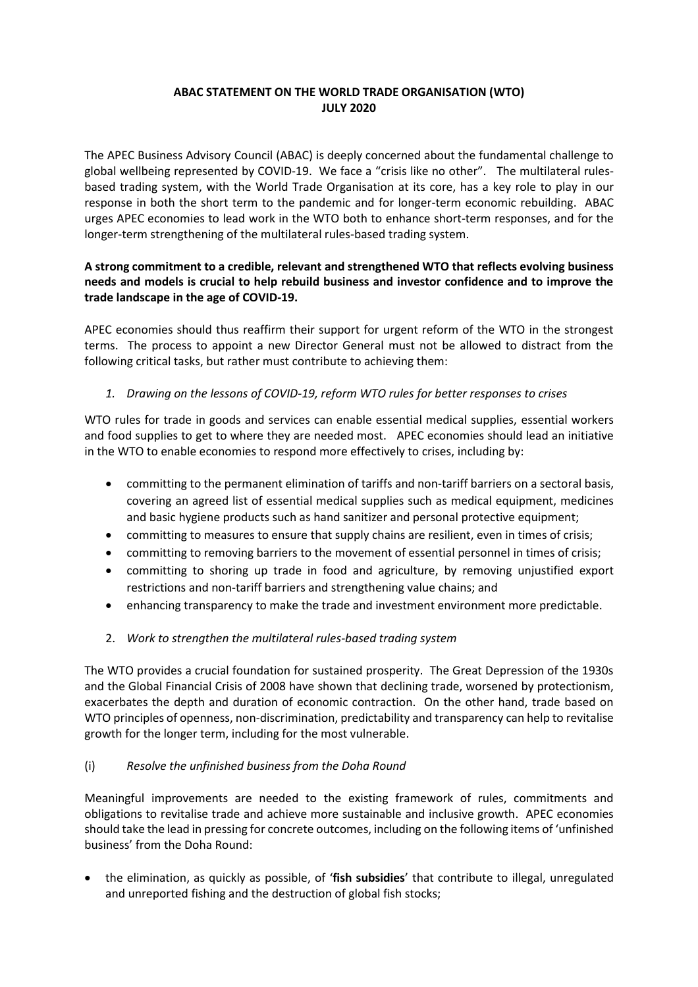## **ABAC STATEMENT ON THE WORLD TRADE ORGANISATION (WTO) JULY 2020**

The APEC Business Advisory Council (ABAC) is deeply concerned about the fundamental challenge to global wellbeing represented by COVID-19. We face a "crisis like no other". The multilateral rulesbased trading system, with the World Trade Organisation at its core, has a key role to play in our response in both the short term to the pandemic and for longer-term economic rebuilding. ABAC urges APEC economies to lead work in the WTO both to enhance short-term responses, and for the longer-term strengthening of the multilateral rules-based trading system.

## **A strong commitment to a credible, relevant and strengthened WTO that reflects evolving business needs and models is crucial to help rebuild business and investor confidence and to improve the trade landscape in the age of COVID-19.**

APEC economies should thus reaffirm their support for urgent reform of the WTO in the strongest terms. The process to appoint a new Director General must not be allowed to distract from the following critical tasks, but rather must contribute to achieving them:

## *1. Drawing on the lessons of COVID-19, reform WTO rules for better responses to crises*

WTO rules for trade in goods and services can enable essential medical supplies, essential workers and food supplies to get to where they are needed most. APEC economies should lead an initiative in the WTO to enable economies to respond more effectively to crises, including by:

- committing to the permanent elimination of tariffs and non-tariff barriers on a sectoral basis, covering an agreed list of essential medical supplies such as medical equipment, medicines and basic hygiene products such as hand sanitizer and personal protective equipment;
- committing to measures to ensure that supply chains are resilient, even in times of crisis;
- committing to removing barriers to the movement of essential personnel in times of crisis;
- committing to shoring up trade in food and agriculture, by removing unjustified export restrictions and non-tariff barriers and strengthening value chains; and
- enhancing transparency to make the trade and investment environment more predictable.
- 2. *Work to strengthen the multilateral rules-based trading system*

The WTO provides a crucial foundation for sustained prosperity. The Great Depression of the 1930s and the Global Financial Crisis of 2008 have shown that declining trade, worsened by protectionism, exacerbates the depth and duration of economic contraction. On the other hand, trade based on WTO principles of openness, non-discrimination, predictability and transparency can help to revitalise growth for the longer term, including for the most vulnerable.

## (i) *Resolve the unfinished business from the Doha Round*

Meaningful improvements are needed to the existing framework of rules, commitments and obligations to revitalise trade and achieve more sustainable and inclusive growth. APEC economies should take the lead in pressing for concrete outcomes, including on the following items of 'unfinished business' from the Doha Round:

• the elimination, as quickly as possible, of '**fish subsidies**' that contribute to illegal, unregulated and unreported fishing and the destruction of global fish stocks;